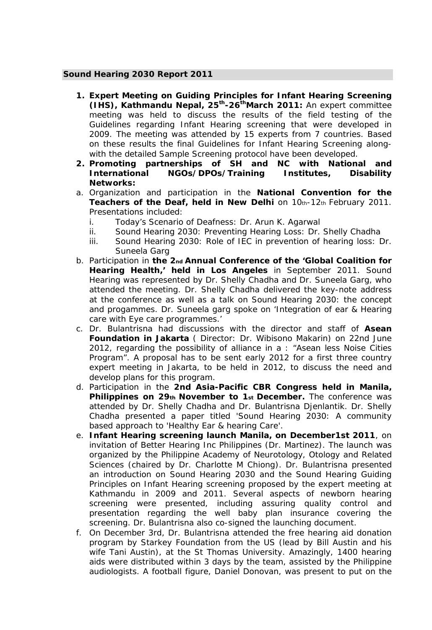## **Sound Hearing 2030 Report 2011**

- *1. Expert Meeting on Guiding Principles for Infant Hearing Screening (IHS), Kathmandu Nepal, 25th-26thMarch 2011:* An expert committee meeting was held to discuss the results of the field testing of the Guidelines regarding Infant Hearing screening that were developed in 2009. The meeting was attended by 15 experts from 7 countries. Based on these results the final Guidelines for Infant Hearing Screening alongwith the detailed Sample Screening protocol have been developed.
- *2. Promoting partnerships of SH and NC with National and International NGOs/DPOs/Training Institutes, Disability Networks:*
- *a. Organization and participation* in the **National Convention for the Teachers of the Deaf, held in New Delhi** on 10th-12th February 2011. Presentations included:
	- *i.* Today's Scenario of Deafness: Dr. Arun K. Agarwal
	- *ii.* Sound Hearing 2030: Preventing Hearing Loss: Dr. Shelly Chadha
	- *iii.* Sound Hearing 2030: Role of IEC in prevention of hearing loss: Dr. Suneela Garg
- **b.** Participation in the 2<sub>nd</sub> Annual Conference of the 'Global Coalition for **Hearing Health,' held in Los Angeles** in September 2011. Sound Hearing was represented by Dr. Shelly Chadha and Dr. Suneela Garg, who attended the meeting. Dr. Shelly Chadha delivered the key-note address at the conference as well as a talk on Sound Hearing 2030: the concept and progammes. Dr. Suneela garg spoke on 'Integration of ear & Hearing care with Eye care programmes.'
- *c.* Dr. Bulantrisna had discussions with the director and staff of **Asean Foundation in Jakarta** ( Director: Dr. Wibisono Makarin) on 22nd June 2012, regarding the possibility of alliance in a : "Asean less Noise Cities Program". A proposal has to be sent early 2012 for a first three country expert meeting in Jakarta, to be held in 2012, to discuss the need and develop plans for this program.
- *d.* Participation in the **2nd Asia-Pacific CBR Congress held in Manila,**  Philippines on 29th November to 1st December. The conference was attended by Dr. Shelly Chadha and Dr. Bulantrisna Djenlantik. Dr. Shelly Chadha presented a paper titled 'Sound Hearing 2030: A community based approach to 'Healthy Ear & hearing Care'.
- *e.* **Infant Hearing screening launch Manila, on December1st 2011**, on invitation of Better Hearing Inc Philippines (Dr. Martinez). The launch was organized by the Philippine Academy of Neurotology, Otology and Related Sciences (chaired by Dr. Charlotte M Chiong). Dr. Bulantrisna presented an introduction on Sound Hearing 2030 and the Sound Hearing Guiding Principles on Infant Hearing screening proposed by the expert meeting at Kathmandu in 2009 and 2011. Several aspects of newborn hearing screening were presented, including assuring quality control and presentation regarding the well baby plan insurance covering the screening. Dr. Bulantrisna also co-signed the launching document.
- *f.* On December 3rd, Dr. Bulantrisna attended the free hearing aid donation program by Starkey Foundation from the US (lead by Bill Austin and his wife Tani Austin), at the St Thomas University. Amazingly, 1400 hearing aids were distributed within 3 days by the team, assisted by the Philippine audiologists. A football figure, Daniel Donovan, was present to put on the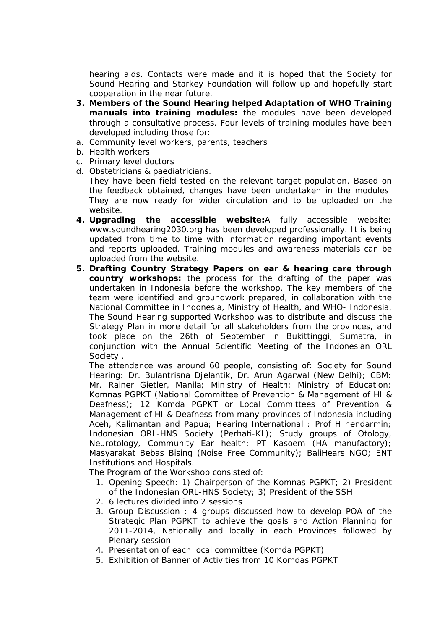hearing aids. Contacts were made and it is hoped that the Society for Sound Hearing and Starkey Foundation will follow up and hopefully start cooperation in the near future.

- *3. Members of the Sound Hearing helped Adaptation of WHO Training manuals into training modules:* the modules have been developed through a consultative process. Four levels of training modules have been developed including those for:
- *a.* Community level workers, parents, teachers
- *b.* Health workers
- *c.* Primary level doctors
- *d.* Obstetricians & paediatricians.

They have been field tested on the relevant target population. Based on the feedback obtained, changes have been undertaken in the modules. They are now ready for wider circulation and to be uploaded on the website.

- *4. Upgrading the accessible website:*A fully accessible website: www.soundhearing2030.org has been developed professionally. It is being updated from time to time with information regarding important events and reports uploaded. Training modules and awareness materials can be uploaded from the website.
- *5. Drafting Country Strategy Papers on ear & hearing care through country workshops:* the process for the drafting of the paper was undertaken in Indonesia before the workshop. The key members of the team were identified and groundwork prepared, in collaboration with the National Committee in Indonesia, Ministry of Health, and WHO- Indonesia. The Sound Hearing supported Workshop was to distribute and discuss the Strategy Plan in more detail for all stakeholders from the provinces, and took place on the 26th of September in Bukittinggi, Sumatra, in conjunction with the Annual Scientific Meeting of the Indonesian ORL Society .

The attendance was around 60 people, consisting of: Society for Sound Hearing: Dr. Bulantrisna Djelantik, Dr. Arun Agarwal (New Delhi); CBM: Mr. Rainer Gietler, Manila; Ministry of Health; Ministry of Education; Komnas PGPKT (National Committee of Prevention & Management of HI & Deafness); 12 Komda PGPKT or Local Committees of Prevention & Management of HI & Deafness from many provinces of Indonesia including Aceh, Kalimantan and Papua; Hearing International : Prof H hendarmin; Indonesian ORL-HNS Society (Perhati-KL); Study groups of Otology, Neurotology, Community Ear health; PT Kasoem (HA manufactory); Masyarakat Bebas Bising (Noise Free Community); BaliHears NGO; ENT Institutions and Hospitals.

The Program of the Workshop consisted of:

- 1. Opening Speech: 1) Chairperson of the Komnas PGPKT; 2) President of the Indonesian ORL-HNS Society; 3) President of the SSH
- 2. 6 lectures divided into 2 sessions
- 3. Group Discussion : 4 groups discussed how to develop POA of the Strategic Plan PGPKT to achieve the goals and Action Planning for 2011-2014, Nationally and locally in each Provinces followed by Plenary session
- 4. Presentation of each local committee (Komda PGPKT)
- 5. Exhibition of Banner of Activities from 10 Komdas PGPKT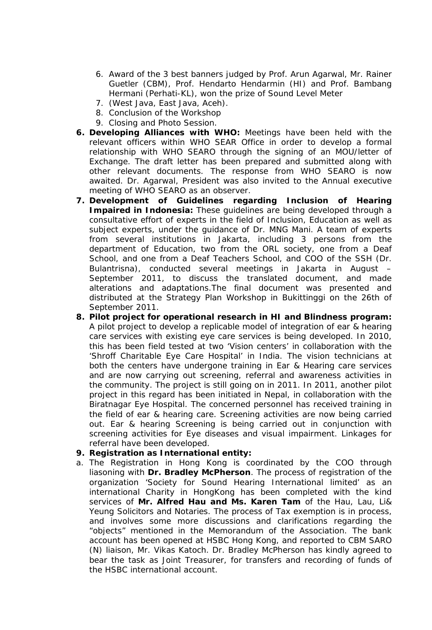- 6. Award of the 3 best banners judged by Prof. Arun Agarwal, Mr. Rainer Guetler (CBM), Prof. Hendarto Hendarmin (HI) and Prof. Bambang Hermani (Perhati-KL), won the prize of Sound Level Meter
- 7. (West Java, East Java, Aceh).
- 8. Conclusion of the Workshop
- 9. Closing and Photo Session.
- *6. Developing Alliances with WHO:* Meetings have been held with the relevant officers within WHO SEAR Office in order to develop a formal relationship with WHO SEARO through the signing of an MOU/letter of Exchange. The draft letter has been prepared and submitted along with other relevant documents. The response from WHO SEARO is now awaited. Dr. Agarwal, President was also invited to the Annual executive meeting of WHO SEARO as an observer.
- *7. Development of Guidelines regarding Inclusion of Hearing*  **Impaired in Indonesia:** These guidelines are being developed through a consultative effort of experts in the field of Inclusion, Education as well as subject experts, under the guidance of Dr. MNG Mani. A team of experts from several institutions in Jakarta, including 3 persons from the department of Education, two from the ORL society, one from a Deaf School, and one from a Deaf Teachers School, and COO of the SSH (Dr. Bulantrisna), conducted several meetings in Jakarta in August – September 2011, to discuss the translated document, and made alterations and adaptations.The final document was presented and distributed at the Strategy Plan Workshop in Bukittinggi on the 26th of September 2011.
- *8. Pilot project for operational research in HI and Blindness program:*  A pilot project to develop a replicable model of integration of ear & hearing care services with existing eye care services is being developed. In 2010, this has been field tested at two 'Vision centers' in collaboration with the 'Shroff Charitable Eye Care Hospital' in India. The vision technicians at both the centers have undergone training in Ear & Hearing care services and are now carrying out screening, referral and awareness activities in the community. The project is still going on in 2011. In 2011, another pilot project in this regard has been initiated in Nepal, in collaboration with the Biratnagar Eye Hospital. The concerned personnel has received training in the field of ear & hearing care. Screening activities are now being carried out. Ear & hearing Screening is being carried out in conjunction with screening activities for Eye diseases and visual impairment. Linkages for referral have been developed.
- *9. Registration as International entity:*
- a. The Registration in Hong Kong is coordinated by the COO through liasoning with **Dr. Bradley McPherson**. The process of registration of the organization 'Society for Sound Hearing International limited' as an international Charity in HongKong has been completed with the kind services of **Mr. Alfred Hau and Ms. Karen Tam** of the Hau, Lau, Li& Yeung Solicitors and Notaries. The process of Tax exemption is in process, and involves some more discussions and clarifications regarding the "objects" mentioned in the Memorandum of the Association. The bank account has been opened at HSBC Hong Kong, and reported to CBM SARO (N) liaison, Mr. Vikas Katoch. Dr. Bradley McPherson has kindly agreed to bear the task as Joint Treasurer, for transfers and recording of funds of the HSBC international account.